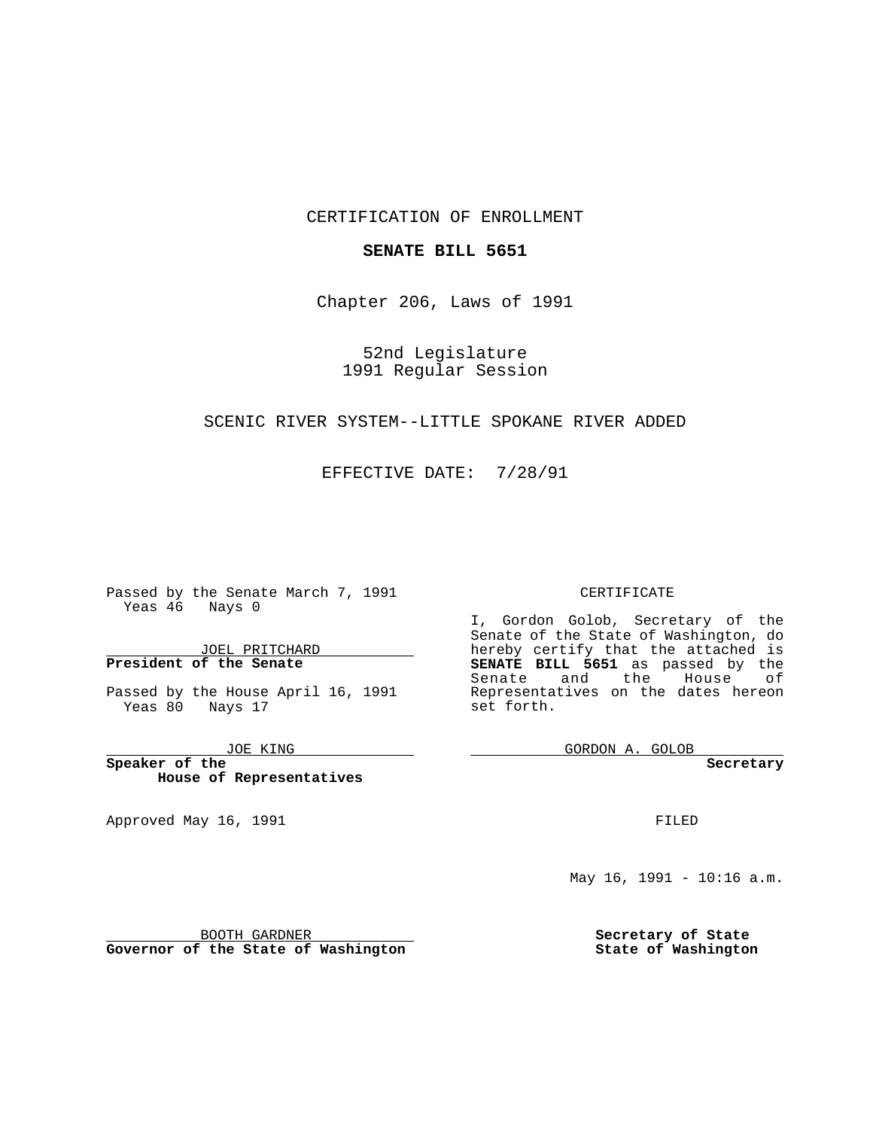#### CERTIFICATION OF ENROLLMENT

### **SENATE BILL 5651**

Chapter 206, Laws of 1991

52nd Legislature 1991 Regular Session

## SCENIC RIVER SYSTEM--LITTLE SPOKANE RIVER ADDED

### EFFECTIVE DATE: 7/28/91

Passed by the Senate March 7, 1991 Yeas 46 Nays 0

JOEL PRITCHARD **President of the Senate**

Passed by the House April 16, 1991 Yeas 80 Nays 17

JOE KING

the control of the control of

**Speaker of the House of Representatives**

Approved May 16, 1991

#### CERTIFICATE

I, Gordon Golob, Secretary of the Senate of the State of Washington, do hereby certify that the attached is **SENATE BILL 5651** as passed by the Senate and the House of Representatives on the dates hereon set forth.

GORDON A. GOLOB

**Secretary**

FILED

May 16, 1991 - 10:16 a.m.

**Secretary of State State of Washington**

BOOTH GARDNER **Governor of the State of Washington**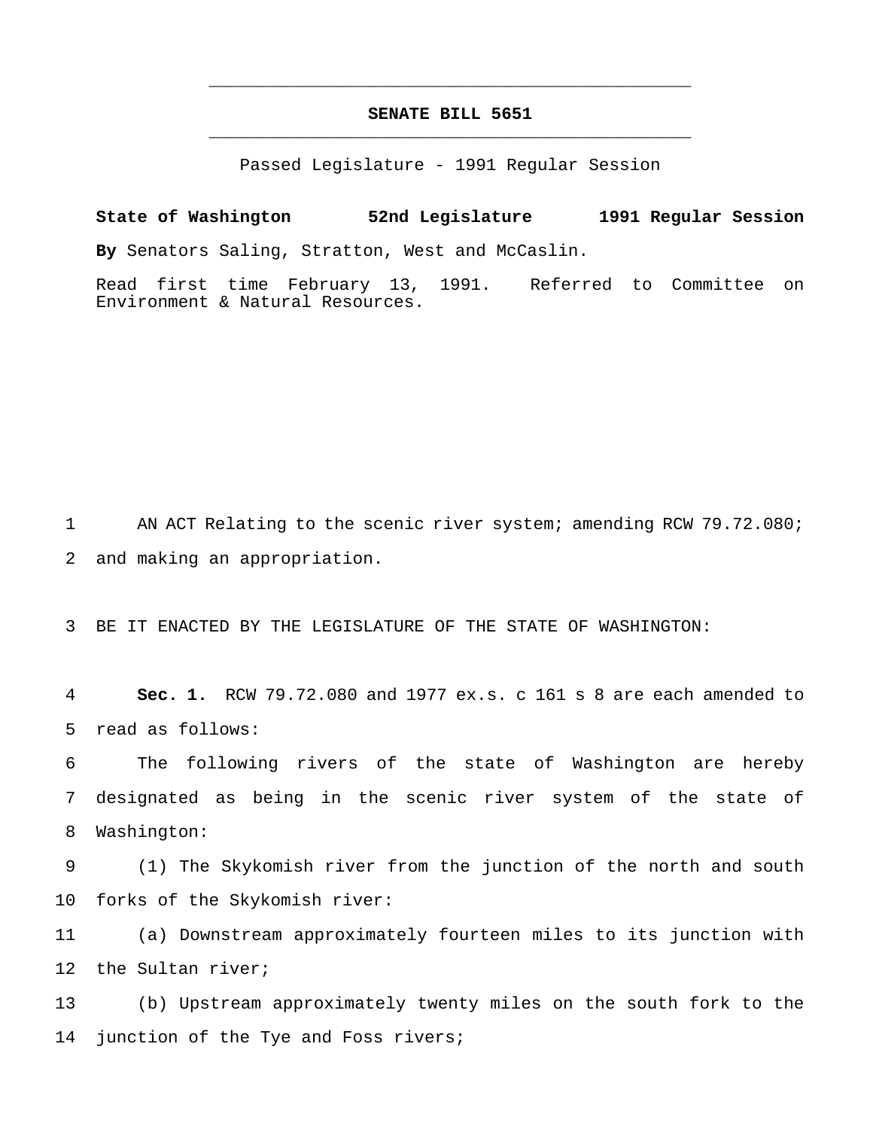# **SENATE BILL 5651** \_\_\_\_\_\_\_\_\_\_\_\_\_\_\_\_\_\_\_\_\_\_\_\_\_\_\_\_\_\_\_\_\_\_\_\_\_\_\_\_\_\_\_\_\_\_\_

\_\_\_\_\_\_\_\_\_\_\_\_\_\_\_\_\_\_\_\_\_\_\_\_\_\_\_\_\_\_\_\_\_\_\_\_\_\_\_\_\_\_\_\_\_\_\_

Passed Legislature - 1991 Regular Session

**State of Washington 52nd Legislature 1991 Regular Session By** Senators Saling, Stratton, West and McCaslin.

Read first time February 13, 1991. Referred to Committee on Environment & Natural Resources.

1 AN ACT Relating to the scenic river system; amending RCW 79.72.080; 2 and making an appropriation.

3 BE IT ENACTED BY THE LEGISLATURE OF THE STATE OF WASHINGTON:

4 **Sec. 1.** RCW 79.72.080 and 1977 ex.s. c 161 s 8 are each amended to 5 read as follows:

6 The following rivers of the state of Washington are hereby 7 designated as being in the scenic river system of the state of 8 Washington:

9 (1) The Skykomish river from the junction of the north and south 10 forks of the Skykomish river:

11 (a) Downstream approximately fourteen miles to its junction with 12 the Sultan river;

13 (b) Upstream approximately twenty miles on the south fork to the 14 junction of the Tye and Foss rivers;